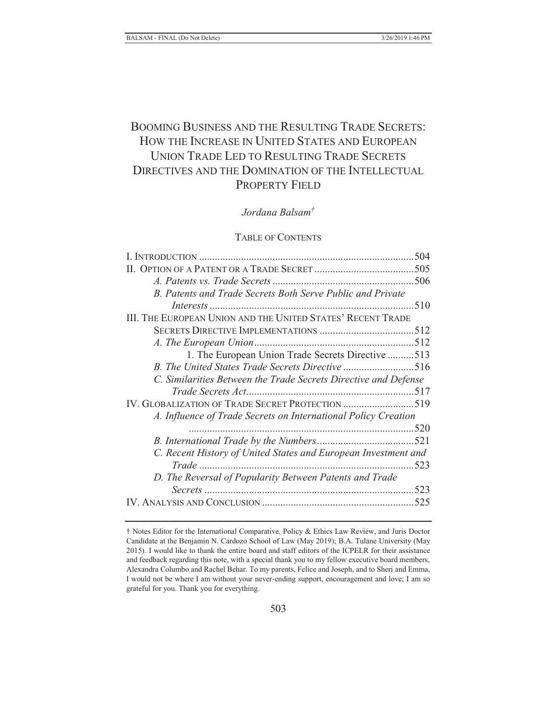# BOOMING BUSINESS AND THE RESULTING TRADE SECRETS: HOW THE INCREASE IN UNITED STATES AND EUROPEAN UNION TRADE LED TO RESULTING TRADE SECRETS DIRECTIVES AND THE DOMINATION OF THE INTELLECTUAL PROPERTY FIELD

## *Jordana Balsam†*

## TABLE OF CONTENTS

| B. Patents and Trade Secrets Both Serve Public and Private      |  |
|-----------------------------------------------------------------|--|
|                                                                 |  |
| III. THE EUROPEAN UNION AND THE UNITED STATES' RECENT TRADE     |  |
|                                                                 |  |
|                                                                 |  |
| 1. The European Union Trade Secrets Directive 513               |  |
| B. The United States Trade Secrets Directive 516                |  |
| C. Similarities Between the Trade Secrets Directive and Defense |  |
|                                                                 |  |
| IV. GLOBALIZATION OF TRADE SECRET PROTECTION 519                |  |
| A. Influence of Trade Secrets on International Policy Creation  |  |
|                                                                 |  |
|                                                                 |  |
| C. Recent History of United States and European Investment and  |  |
|                                                                 |  |
| D. The Reversal of Popularity Between Patents and Trade         |  |
|                                                                 |  |
|                                                                 |  |
|                                                                 |  |

<sup>†</sup> Notes Editor for the International Comparative, Policy & Ethics Law Review, and Juris Doctor Candidate at the Benjamin N. Cardozo School of Law (May 2019); B.A. Tulane University (May 2015). I would like to thank the entire board and staff editors of the ICPELR for their assistance and feedback regarding this note, with a special thank you to my fellow executive board members, Alexandra Columbo and Rachel Behar. To my parents, Felice and Joseph, and to Sheri and Emma, I would not be where I am without your never-ending support, encouragement and love; I am so grateful for you. Thank you for everything.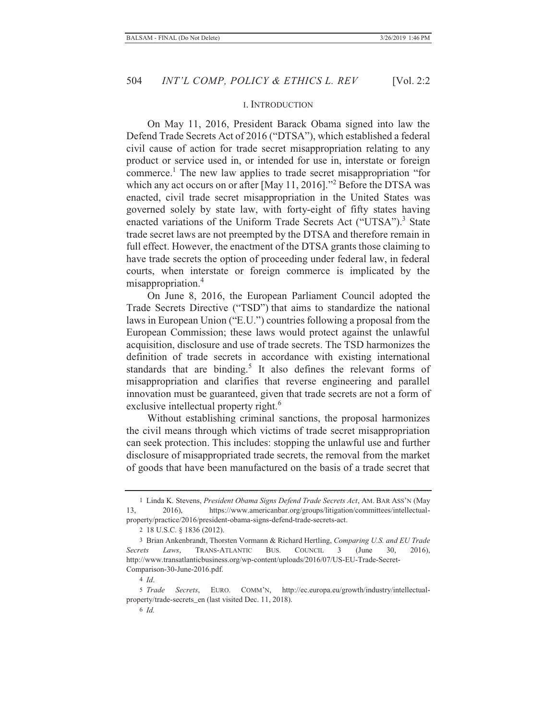#### I. INTRODUCTION

On May 11, 2016, President Barack Obama signed into law the Defend Trade Secrets Act of 2016 ("DTSA"), which established a federal civil cause of action for trade secret misappropriation relating to any product or service used in, or intended for use in, interstate or foreign commerce.<sup>1</sup> The new law applies to trade secret misappropriation "for which any act occurs on or after [May 11, 2016]."<sup>2</sup> Before the DTSA was enacted, civil trade secret misappropriation in the United States was governed solely by state law, with forty-eight of fifty states having enacted variations of the Uniform Trade Secrets Act ("UTSA").<sup>3</sup> State trade secret laws are not preempted by the DTSA and therefore remain in full effect. However, the enactment of the DTSA grants those claiming to have trade secrets the option of proceeding under federal law, in federal courts, when interstate or foreign commerce is implicated by the misappropriation.<sup>4</sup>

On June 8, 2016, the European Parliament Council adopted the Trade Secrets Directive ("TSD") that aims to standardize the national laws in European Union ("E.U.") countries following a proposal from the European Commission; these laws would protect against the unlawful acquisition, disclosure and use of trade secrets. The TSD harmonizes the definition of trade secrets in accordance with existing international standards that are binding.<sup>5</sup> It also defines the relevant forms of misappropriation and clarifies that reverse engineering and parallel innovation must be guaranteed, given that trade secrets are not a form of exclusive intellectual property right.<sup>6</sup>

Without establishing criminal sanctions, the proposal harmonizes the civil means through which victims of trade secret misappropriation can seek protection. This includes: stopping the unlawful use and further disclosure of misappropriated trade secrets, the removal from the market of goods that have been manufactured on the basis of a trade secret that

4 *Id*.

5 *Trade Secrets*, EURO. COMM'N, http://ec.europa.eu/growth/industry/intellectualproperty/trade-secrets\_en (last visited Dec. 11, 2018).

<sup>1</sup> Linda K. Stevens, *President Obama Signs Defend Trade Secrets Act*, AM. BAR ASS'N (May 13, 2016), https://www.americanbar.org/groups/litigation/committees/intellectualproperty/practice/2016/president-obama-signs-defend-trade-secrets-act.

<sup>2 18</sup> U.S.C. § 1836 (2012).

<sup>3</sup> Brian Ankenbrandt, Thorsten Vormann & Richard Hertling, *Comparing U.S. and EU Trade Secrets Laws*, TRANS-ATLANTIC BUS. COUNCIL 3 (June 30, 2016), http://www.transatlanticbusiness.org/wp-content/uploads/2016/07/US-EU-Trade-Secret-Comparison-30-June-2016.pdf.

<sup>6</sup> *Id.*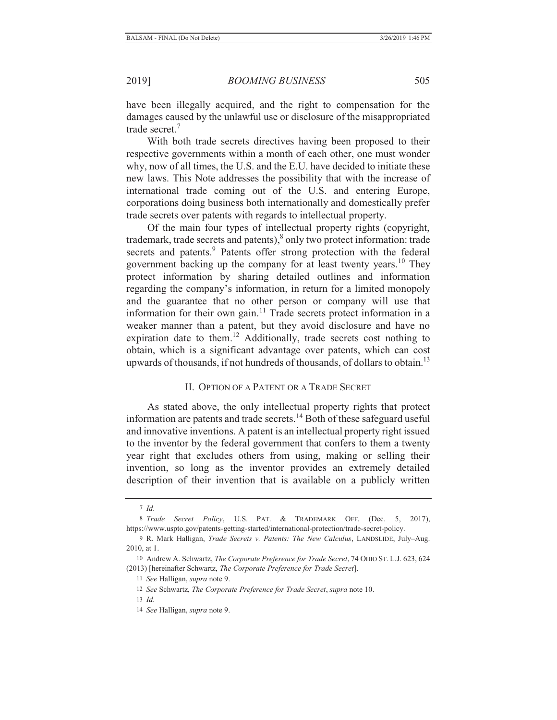have been illegally acquired, and the right to compensation for the damages caused by the unlawful use or disclosure of the misappropriated trade secret.7

With both trade secrets directives having been proposed to their respective governments within a month of each other, one must wonder why, now of all times, the U.S. and the E.U. have decided to initiate these new laws. This Note addresses the possibility that with the increase of international trade coming out of the U.S. and entering Europe, corporations doing business both internationally and domestically prefer trade secrets over patents with regards to intellectual property.

Of the main four types of intellectual property rights (copyright, trademark, trade secrets and patents), $\delta$  only two protect information: trade secrets and patents.<sup>9</sup> Patents offer strong protection with the federal government backing up the company for at least twenty years.<sup>10</sup> They protect information by sharing detailed outlines and information regarding the company's information, in return for a limited monopoly and the guarantee that no other person or company will use that information for their own gain.<sup>11</sup> Trade secrets protect information in a weaker manner than a patent, but they avoid disclosure and have no expiration date to them.<sup>12</sup> Additionally, trade secrets cost nothing to obtain, which is a significant advantage over patents, which can cost upwards of thousands, if not hundreds of thousands, of dollars to obtain.<sup>13</sup>

## II. OPTION OF A PATENT OR A TRADE SECRET

As stated above, the only intellectual property rights that protect information are patents and trade secrets.<sup>14</sup> Both of these safeguard useful and innovative inventions. A patent is an intellectual property right issued to the inventor by the federal government that confers to them a twenty year right that excludes others from using, making or selling their invention, so long as the inventor provides an extremely detailed description of their invention that is available on a publicly written

<sup>7</sup> *Id*.

<sup>8</sup> *Trade Secret Policy*, U.S. PAT. & TRADEMARK OFF. (Dec. 5, 2017), https://www.uspto.gov/patents-getting-started/international-protection/trade-secret-policy.

<sup>9</sup> R. Mark Halligan, *Trade Secrets v. Patents: The New Calculus*, LANDSLIDE, July–Aug. 2010, at 1.

<sup>10</sup> Andrew A. Schwartz, *The Corporate Preference for Trade Secret*, 74 OHIO ST. L.J. 623, 624 (2013) [hereinafter Schwartz, *The Corporate Preference for Trade Secret*].

<sup>11</sup> *See* Halligan, *supra* note 9.

<sup>12</sup> *See* Schwartz, *The Corporate Preference for Trade Secret*, *supra* note 10.

<sup>13</sup> *Id*.

<sup>14</sup> *See* Halligan, *supra* note 9.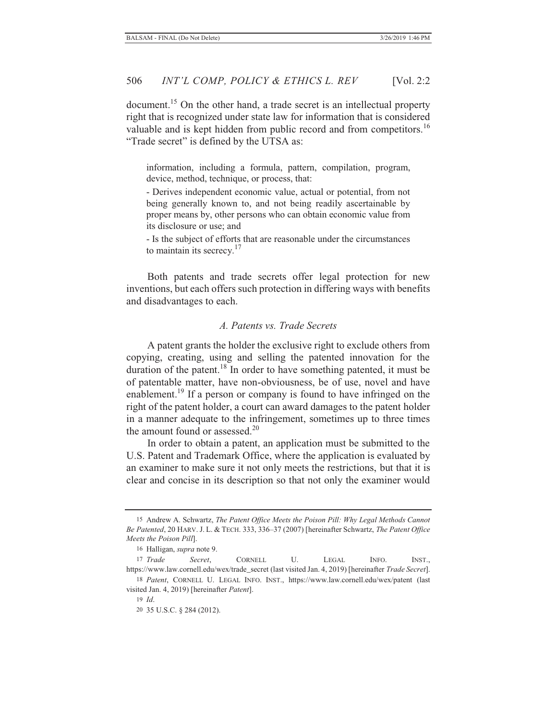document.<sup>15</sup> On the other hand, a trade secret is an intellectual property right that is recognized under state law for information that is considered valuable and is kept hidden from public record and from competitors.<sup>16</sup> "Trade secret" is defined by the UTSA as:

information, including a formula, pattern, compilation, program, device, method, technique, or process, that:

- Derives independent economic value, actual or potential, from not being generally known to, and not being readily ascertainable by proper means by, other persons who can obtain economic value from its disclosure or use; and

- Is the subject of efforts that are reasonable under the circumstances to maintain its secrecy. $17$ 

Both patents and trade secrets offer legal protection for new inventions, but each offers such protection in differing ways with benefits and disadvantages to each.

#### *A. Patents vs. Trade Secrets*

A patent grants the holder the exclusive right to exclude others from copying, creating, using and selling the patented innovation for the duration of the patent.<sup>18</sup> In order to have something patented, it must be of patentable matter, have non-obviousness, be of use, novel and have enablement.<sup>19</sup> If a person or company is found to have infringed on the right of the patent holder, a court can award damages to the patent holder in a manner adequate to the infringement, sometimes up to three times the amount found or assessed.<sup>20</sup>

In order to obtain a patent, an application must be submitted to the U.S. Patent and Trademark Office, where the application is evaluated by an examiner to make sure it not only meets the restrictions, but that it is clear and concise in its description so that not only the examiner would

<sup>15</sup> Andrew A. Schwartz, *The Patent Office Meets the Poison Pill: Why Legal Methods Cannot Be Patented*, 20 HARV. J. L. & TECH. 333, 336–37 (2007) [hereinafter Schwartz, *The Patent Office Meets the Poison Pill*].

<sup>16</sup> Halligan, *supra* note 9.

<sup>17</sup> *Trade Secret*, CORNELL U. LEGAL INFO. INST., https://www.law.cornell.edu/wex/trade\_secret (last visited Jan. 4, 2019) [hereinafter *Trade Secret*].

<sup>18</sup> *Patent*, CORNELL U. LEGAL INFO. INST., https://www.law.cornell.edu/wex/patent (last visited Jan. 4, 2019) [hereinafter *Patent*].

<sup>19</sup> *Id*.

<sup>20</sup> 35 U.S.C. § 284 (2012).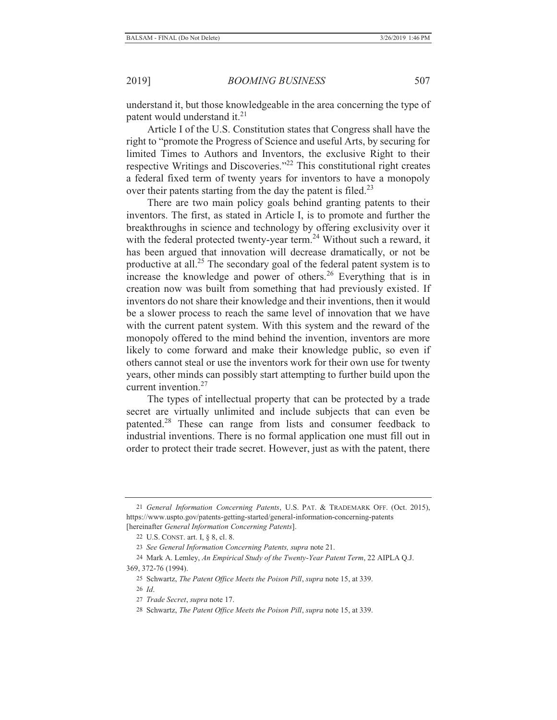understand it, but those knowledgeable in the area concerning the type of patent would understand it.<sup>21</sup>

Article I of the U.S. Constitution states that Congress shall have the right to "promote the Progress of Science and useful Arts, by securing for limited Times to Authors and Inventors, the exclusive Right to their respective Writings and Discoveries."22 This constitutional right creates a federal fixed term of twenty years for inventors to have a monopoly over their patents starting from the day the patent is filed.<sup>23</sup>

There are two main policy goals behind granting patents to their inventors. The first, as stated in Article I, is to promote and further the breakthroughs in science and technology by offering exclusivity over it with the federal protected twenty-year term.<sup>24</sup> Without such a reward, it has been argued that innovation will decrease dramatically, or not be productive at all.<sup>25</sup> The secondary goal of the federal patent system is to increase the knowledge and power of others.<sup>26</sup> Everything that is in creation now was built from something that had previously existed. If inventors do not share their knowledge and their inventions, then it would be a slower process to reach the same level of innovation that we have with the current patent system. With this system and the reward of the monopoly offered to the mind behind the invention, inventors are more likely to come forward and make their knowledge public, so even if others cannot steal or use the inventors work for their own use for twenty years, other minds can possibly start attempting to further build upon the current invention.<sup>27</sup>

The types of intellectual property that can be protected by a trade secret are virtually unlimited and include subjects that can even be patented.28 These can range from lists and consumer feedback to industrial inventions. There is no formal application one must fill out in order to protect their trade secret. However, just as with the patent, there

<sup>21</sup> *General Information Concerning Patents*, U.S. PAT. & TRADEMARK OFF. (Oct. 2015), https://www.uspto.gov/patents-getting-started/general-information-concerning-patents [hereinafter *General Information Concerning Patents*].

<sup>22</sup> U.S. CONST. art. I, § 8, cl. 8.

<sup>23</sup> *See General Information Concerning Patents, supra* note 21.

<sup>24</sup> Mark A. Lemley, *An Empirical Study of the Twenty-Year Patent Term*, 22 AIPLA Q.J. 369, 372-76 (1994).

<sup>25</sup> Schwartz, *The Patent Office Meets the Poison Pill*, *supra* note 15, at 339.

<sup>26</sup> *Id*.

<sup>27</sup> *Trade Secret*, *supra* note 17.

<sup>28</sup> Schwartz, *The Patent Office Meets the Poison Pill*, *supra* note 15, at 339.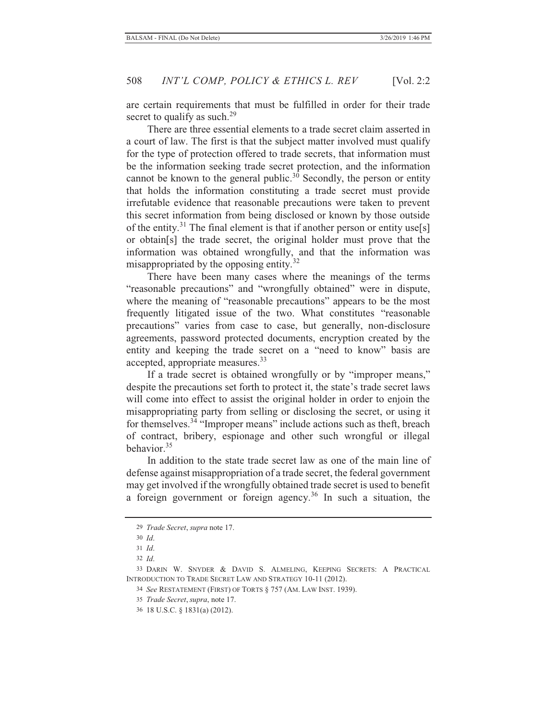are certain requirements that must be fulfilled in order for their trade secret to qualify as such.<sup>29</sup>

There are three essential elements to a trade secret claim asserted in a court of law. The first is that the subject matter involved must qualify for the type of protection offered to trade secrets, that information must be the information seeking trade secret protection, and the information cannot be known to the general public.<sup>30</sup> Secondly, the person or entity that holds the information constituting a trade secret must provide irrefutable evidence that reasonable precautions were taken to prevent this secret information from being disclosed or known by those outside of the entity.<sup>31</sup> The final element is that if another person or entity use[s] or obtain[s] the trade secret, the original holder must prove that the information was obtained wrongfully, and that the information was misappropriated by the opposing entity.<sup>32</sup>

There have been many cases where the meanings of the terms "reasonable precautions" and "wrongfully obtained" were in dispute, where the meaning of "reasonable precautions" appears to be the most frequently litigated issue of the two. What constitutes "reasonable precautions" varies from case to case, but generally, non-disclosure agreements, password protected documents, encryption created by the entity and keeping the trade secret on a "need to know" basis are accepted, appropriate measures.<sup>33</sup>

If a trade secret is obtained wrongfully or by "improper means," despite the precautions set forth to protect it, the state's trade secret laws will come into effect to assist the original holder in order to enjoin the misappropriating party from selling or disclosing the secret, or using it for themselves. $34$  "Improper means" include actions such as theft, breach of contract, bribery, espionage and other such wrongful or illegal behavior.35

In addition to the state trade secret law as one of the main line of defense against misappropriation of a trade secret, the federal government may get involved if the wrongfully obtained trade secret is used to benefit a foreign government or foreign agency.<sup>36</sup> In such a situation, the

31 *Id*.

32 *Id*.

35 *Trade Secret*, *supra*, note 17.

<sup>29</sup> *Trade Secret*, *supra* note 17.

<sup>30</sup> *Id*.

<sup>33</sup> DARIN W. SNYDER & DAVID S. ALMELING, KEEPING SECRETS: A PRACTICAL INTRODUCTION TO TRADE SECRET LAW AND STRATEGY 10-11 (2012).

<sup>34</sup> *See* RESTATEMENT (FIRST) OF TORTS § 757 (AM. LAW INST. 1939).

<sup>36</sup> 18 U.S.C. § 1831(a) (2012).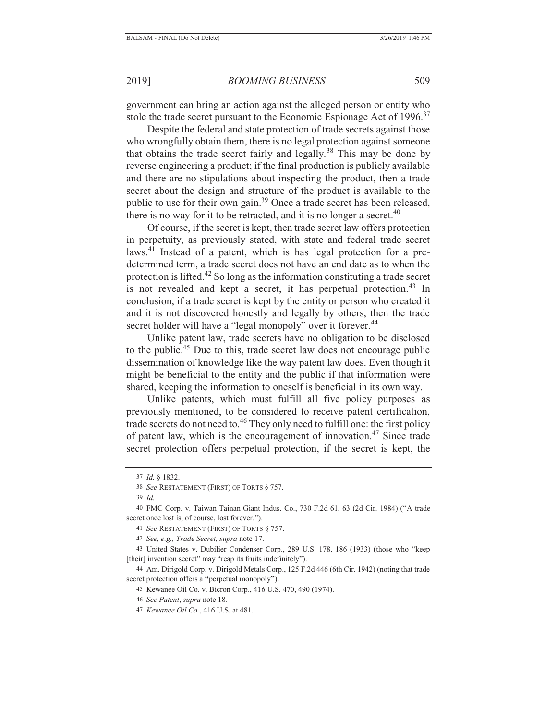government can bring an action against the alleged person or entity who stole the trade secret pursuant to the Economic Espionage Act of 1996.<sup>37</sup>

Despite the federal and state protection of trade secrets against those who wrongfully obtain them, there is no legal protection against someone that obtains the trade secret fairly and legally.<sup>38</sup> This may be done by reverse engineering a product; if the final production is publicly available and there are no stipulations about inspecting the product, then a trade secret about the design and structure of the product is available to the public to use for their own gain.<sup>39</sup> Once a trade secret has been released, there is no way for it to be retracted, and it is no longer a secret. $40$ 

Of course, if the secret is kept, then trade secret law offers protection in perpetuity, as previously stated, with state and federal trade secret laws.41 Instead of a patent, which is has legal protection for a predetermined term, a trade secret does not have an end date as to when the protection is lifted.42 So long as the information constituting a trade secret is not revealed and kept a secret, it has perpetual protection.<sup>43</sup> In conclusion, if a trade secret is kept by the entity or person who created it and it is not discovered honestly and legally by others, then the trade secret holder will have a "legal monopoly" over it forever.<sup>44</sup>

Unlike patent law, trade secrets have no obligation to be disclosed to the public.45 Due to this, trade secret law does not encourage public dissemination of knowledge like the way patent law does. Even though it might be beneficial to the entity and the public if that information were shared, keeping the information to oneself is beneficial in its own way.

Unlike patents, which must fulfill all five policy purposes as previously mentioned, to be considered to receive patent certification, trade secrets do not need to.46 They only need to fulfill one: the first policy of patent law, which is the encouragement of innovation.47 Since trade secret protection offers perpetual protection, if the secret is kept, the

- 45 Kewanee Oil Co. v. Bicron Corp., 416 U.S. 470, 490 (1974).
- 46 *See Patent*, *supra* note 18.
- 47 *Kewanee Oil Co.*, 416 U.S. at 481.

<sup>37</sup> *Id.* § 1832.

<sup>38</sup> *See* RESTATEMENT (FIRST) OF TORTS § 757.

<sup>39</sup> *Id.*

<sup>40</sup> FMC Corp. v. Taiwan Tainan Giant Indus. Co., 730 F.2d 61, 63 (2d Cir. 1984) ("A trade secret once lost is, of course, lost forever.").

<sup>41</sup> *See* RESTATEMENT (FIRST) OF TORTS § 757.

<sup>42</sup> *See, e.g., Trade Secret, supra* note 17.

<sup>43</sup> United States v. Dubilier Condenser Corp., 289 U.S. 178, 186 (1933) (those who "keep [their] invention secret" may "reap its fruits indefinitely").

<sup>44</sup> Am. Dirigold Corp. v. Dirigold Metals Corp., 125 F.2d 446 (6th Cir. 1942) (noting that trade secret protection offers a **"**perpetual monopoly**"**).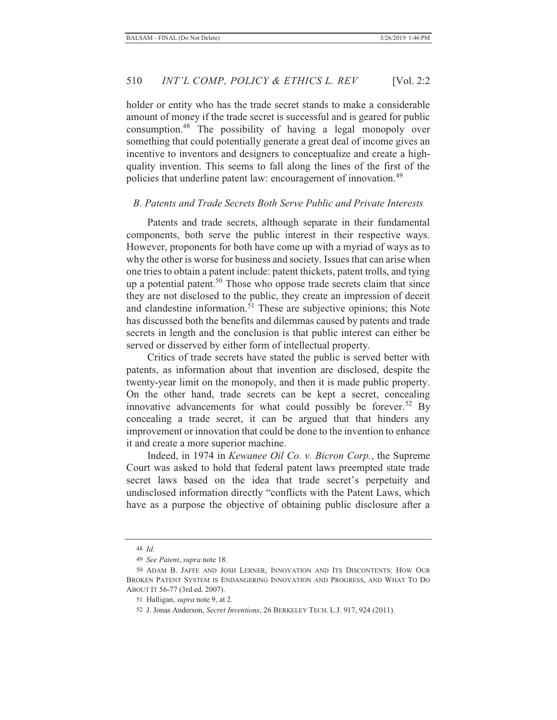holder or entity who has the trade secret stands to make a considerable amount of money if the trade secret is successful and is geared for public consumption.48 The possibility of having a legal monopoly over something that could potentially generate a great deal of income gives an incentive to inventors and designers to conceptualize and create a highquality invention. This seems to fall along the lines of the first of the policies that underline patent law: encouragement of innovation.<sup>49</sup>

## *B. Patents and Trade Secrets Both Serve Public and Private Interests*

Patents and trade secrets, although separate in their fundamental components, both serve the public interest in their respective ways. However, proponents for both have come up with a myriad of ways as to why the other is worse for business and society. Issues that can arise when one tries to obtain a patent include: patent thickets, patent trolls, and tying up a potential patent.<sup>50</sup> Those who oppose trade secrets claim that since they are not disclosed to the public, they create an impression of deceit and clandestine information. $5<sup>1</sup>$  These are subjective opinions; this Note has discussed both the benefits and dilemmas caused by patents and trade secrets in length and the conclusion is that public interest can either be served or disserved by either form of intellectual property.

Critics of trade secrets have stated the public is served better with patents, as information about that invention are disclosed, despite the twenty-year limit on the monopoly, and then it is made public property. On the other hand, trade secrets can be kept a secret, concealing innovative advancements for what could possibly be forever.<sup>52</sup> By concealing a trade secret, it can be argued that that hinders any improvement or innovation that could be done to the invention to enhance it and create a more superior machine.

Indeed, in 1974 in *Kewanee Oil Co. v. Bicron Corp.*, the Supreme Court was asked to hold that federal patent laws preempted state trade secret laws based on the idea that trade secret's perpetuity and undisclosed information directly "conflicts with the Patent Laws, which have as a purpose the objective of obtaining public disclosure after a

<sup>48</sup> *Id.*

<sup>49</sup> *See Patent*, *supra* note 18.

<sup>50</sup> ADAM B. JAFFE AND JOSH LERNER, INNOVATION AND ITS DISCONTENTS: HOW OUR BROKEN PATENT SYSTEM IS ENDANGERING INNOVATION AND PROGRESS, AND WHAT TO DO ABOUT IT 56-77 (3rd ed. 2007).

<sup>51</sup> Halligan, *supra* note 9, at 2.

<sup>52</sup> J. Jonas Anderson, *Secret Inventions*, 26 BERKELEY TECH. L.J. 917, 924 (2011).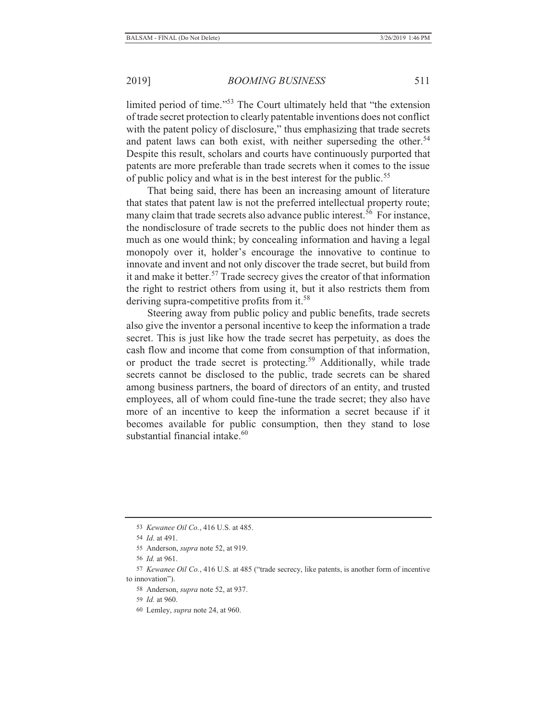limited period of time."53 The Court ultimately held that "the extension of trade secret protection to clearly patentable inventions does not conflict with the patent policy of disclosure," thus emphasizing that trade secrets and patent laws can both exist, with neither superseding the other.<sup>54</sup> Despite this result, scholars and courts have continuously purported that patents are more preferable than trade secrets when it comes to the issue of public policy and what is in the best interest for the public.<sup>55</sup>

That being said, there has been an increasing amount of literature that states that patent law is not the preferred intellectual property route; many claim that trade secrets also advance public interest.<sup>56</sup> For instance, the nondisclosure of trade secrets to the public does not hinder them as much as one would think; by concealing information and having a legal monopoly over it, holder's encourage the innovative to continue to innovate and invent and not only discover the trade secret, but build from it and make it better.<sup>57</sup> Trade secrecy gives the creator of that information the right to restrict others from using it, but it also restricts them from deriving supra-competitive profits from it.<sup>58</sup>

Steering away from public policy and public benefits, trade secrets also give the inventor a personal incentive to keep the information a trade secret. This is just like how the trade secret has perpetuity, as does the cash flow and income that come from consumption of that information, or product the trade secret is protecting.<sup>59</sup> Additionally, while trade secrets cannot be disclosed to the public, trade secrets can be shared among business partners, the board of directors of an entity, and trusted employees, all of whom could fine-tune the trade secret; they also have more of an incentive to keep the information a secret because if it becomes available for public consumption, then they stand to lose substantial financial intake. $60$ 

- 58 Anderson, *supra* note 52, at 937.
- 59 *Id.* at 960.
- 60 Lemley, *supra* note 24, at 960.

<sup>53</sup> *Kewanee Oil Co.*, 416 U.S. at 485.

<sup>54</sup> *Id*. at 491.

<sup>55</sup> Anderson, *supra* note 52, at 919.

<sup>56</sup> *Id.* at 961.

<sup>57</sup> *Kewanee Oil Co.*, 416 U.S. at 485 ("trade secrecy, like patents, is another form of incentive to innovation").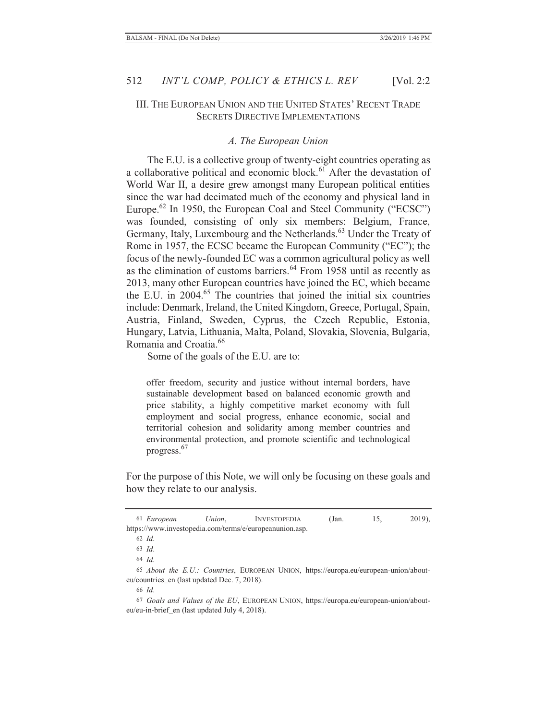## III. THE EUROPEAN UNION AND THE UNITED STATES' RECENT TRADE SECRETS DIRECTIVE IMPLEMENTATIONS

#### *A. The European Union*

The E.U. is a collective group of twenty-eight countries operating as a collaborative political and economic block. $6\overline{1}$  After the devastation of World War II, a desire grew amongst many European political entities since the war had decimated much of the economy and physical land in Europe.<sup>62</sup> In 1950, the European Coal and Steel Community ("ECSC") was founded, consisting of only six members: Belgium, France, Germany, Italy, Luxembourg and the Netherlands.<sup>63</sup> Under the Treaty of Rome in 1957, the ECSC became the European Community ("EC"); the focus of the newly-founded EC was a common agricultural policy as well as the elimination of customs barriers.<sup>64</sup> From 1958 until as recently as 2013, many other European countries have joined the EC, which became the E.U. in  $2004<sup>65</sup>$  The countries that joined the initial six countries include: Denmark, Ireland, the United Kingdom, Greece, Portugal, Spain, Austria, Finland, Sweden, Cyprus, the Czech Republic, Estonia, Hungary, Latvia, Lithuania, Malta, Poland, Slovakia, Slovenia, Bulgaria, Romania and Croatia.66

Some of the goals of the E.U. are to:

offer freedom, security and justice without internal borders, have sustainable development based on balanced economic growth and price stability, a highly competitive market economy with full employment and social progress, enhance economic, social and territorial cohesion and solidarity among member countries and environmental protection, and promote scientific and technological progress.67

For the purpose of this Note, we will only be focusing on these goals and how they relate to our analysis.

<sup>61</sup> *European Union*, INVESTOPEDIA (Jan. 15, 2019), https://www.investopedia.com/terms/e/europeanunion.asp.

<sup>62</sup> *Id*.

<sup>63</sup> *Id*.

<sup>64</sup> *Id*.

<sup>65</sup> *About the E.U.: Countries*, EUROPEAN UNION, https://europa.eu/european-union/abouteu/countries\_en (last updated Dec. 7, 2018).

<sup>66</sup> *Id*.

<sup>67</sup> *Goals and Values of the EU*, EUROPEAN UNION, https://europa.eu/european-union/abouteu/eu-in-brief\_en (last updated July 4, 2018).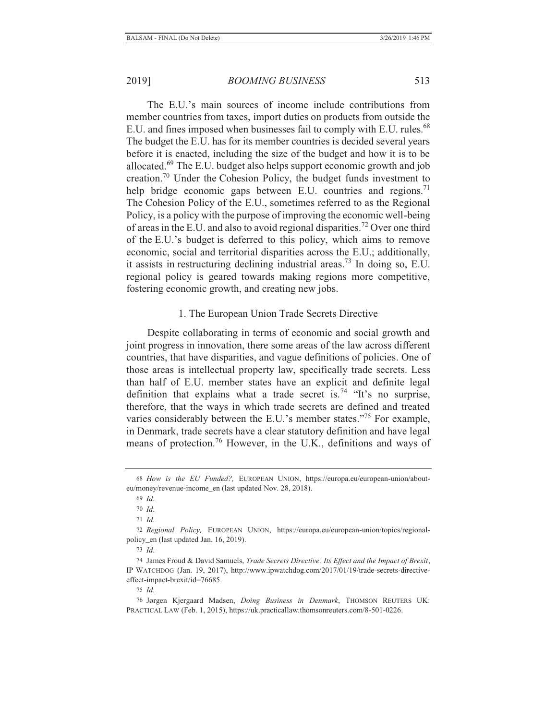The E.U.'s main sources of income include contributions from member countries from taxes, import duties on products from outside the E.U. and fines imposed when businesses fail to comply with E.U. rules.<sup>68</sup> The budget the E.U. has for its member countries is decided several years before it is enacted, including the size of the budget and how it is to be allocated.69 The E.U. budget also helps support economic growth and job creation.70 Under the Cohesion Policy, the budget funds investment to help bridge economic gaps between E.U. countries and regions.<sup>71</sup> The Cohesion Policy of the E.U., sometimes referred to as the Regional Policy, is a policy with the purpose of improving the economic well-being of areas in the E.U. and also to avoid regional disparities.<sup>72</sup> Over one third of the E.U.'s budget is deferred to this policy, which aims to remove economic, social and territorial disparities across the E.U.; additionally, it assists in restructuring declining industrial areas.73 In doing so, E.U. regional policy is geared towards making regions more competitive, fostering economic growth, and creating new jobs.

#### 1. The European Union Trade Secrets Directive

Despite collaborating in terms of economic and social growth and joint progress in innovation, there some areas of the law across different countries, that have disparities, and vague definitions of policies. One of those areas is intellectual property law, specifically trade secrets. Less than half of E.U. member states have an explicit and definite legal definition that explains what a trade secret is.<sup>74</sup> "It's no surprise, therefore, that the ways in which trade secrets are defined and treated varies considerably between the E.U.'s member states."75 For example, in Denmark, trade secrets have a clear statutory definition and have legal means of protection.76 However, in the U.K., definitions and ways of

<sup>68</sup> *How is the EU Funded?,* EUROPEAN UNION, https://europa.eu/european-union/abouteu/money/revenue-income\_en (last updated Nov. 28, 2018).

<sup>69</sup> *Id*.

<sup>70</sup> *Id*.

<sup>71</sup> *Id*.

<sup>72</sup> *Regional Policy,* EUROPEAN UNION, https://europa.eu/european-union/topics/regionalpolicy\_en (last updated Jan. 16, 2019).

<sup>73</sup> *Id*.

<sup>74</sup> James Froud & David Samuels, *Trade Secrets Directive: Its Effect and the Impact of Brexit*, IP WATCHDOG (Jan. 19, 2017), http://www.ipwatchdog.com/2017/01/19/trade-secrets-directiveeffect-impact-brexit/id=76685.

<sup>75</sup> *Id*.

<sup>76</sup> Jørgen Kjergaard Madsen, *Doing Business in Denmark*, THOMSON REUTERS UK: PRACTICAL LAW (Feb. 1, 2015), https://uk.practicallaw.thomsonreuters.com/8-501-0226.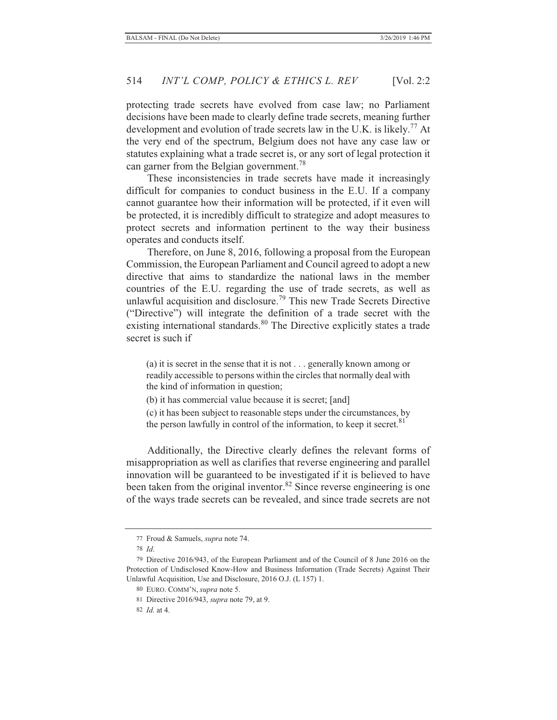protecting trade secrets have evolved from case law; no Parliament decisions have been made to clearly define trade secrets, meaning further development and evolution of trade secrets law in the U.K. is likely.<sup>77</sup> At the very end of the spectrum, Belgium does not have any case law or statutes explaining what a trade secret is, or any sort of legal protection it can garner from the Belgian government.<sup>78</sup>

These inconsistencies in trade secrets have made it increasingly difficult for companies to conduct business in the E.U. If a company cannot guarantee how their information will be protected, if it even will be protected, it is incredibly difficult to strategize and adopt measures to protect secrets and information pertinent to the way their business operates and conducts itself.

Therefore, on June 8, 2016, following a proposal from the European Commission, the European Parliament and Council agreed to adopt a new directive that aims to standardize the national laws in the member countries of the E.U. regarding the use of trade secrets, as well as unlawful acquisition and disclosure.79 This new Trade Secrets Directive ("Directive") will integrate the definition of a trade secret with the existing international standards.<sup>80</sup> The Directive explicitly states a trade secret is such if

(a) it is secret in the sense that it is not . . . generally known among or readily accessible to persons within the circles that normally deal with the kind of information in question;

(b) it has commercial value because it is secret; [and]

(c) it has been subject to reasonable steps under the circumstances, by the person lawfully in control of the information, to keep it secret.<sup>81</sup>

Additionally, the Directive clearly defines the relevant forms of misappropriation as well as clarifies that reverse engineering and parallel innovation will be guaranteed to be investigated if it is believed to have been taken from the original inventor.<sup>82</sup> Since reverse engineering is one of the ways trade secrets can be revealed, and since trade secrets are not

<sup>77</sup> Froud & Samuels, *supra* note 74.

<sup>78</sup> *Id*.

<sup>79</sup> Directive 2016/943, of the European Parliament and of the Council of 8 June 2016 on the Protection of Undisclosed Know-How and Business Information (Trade Secrets) Against Their Unlawful Acquisition, Use and Disclosure, 2016 O.J. (L 157) 1.

<sup>80</sup> EURO. COMM'N, *supra* note 5.

<sup>81</sup> Directive 2016/943, *supra* note 79, at 9.

<sup>82</sup> *Id.* at 4.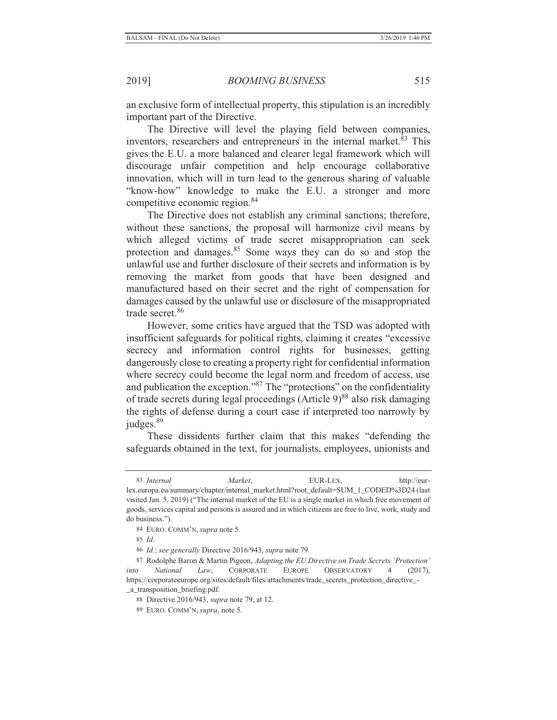an exclusive form of intellectual property, this stipulation is an incredibly important part of the Directive.

The Directive will level the playing field between companies, inventors, researchers and entrepreneurs in the internal market.<sup>83</sup> This gives the E.U. a more balanced and clearer legal framework which will discourage unfair competition and help encourage collaborative innovation, which will in turn lead to the generous sharing of valuable "know-how" knowledge to make the E.U. a stronger and more competitive economic region.<sup>84</sup>

The Directive does not establish any criminal sanctions; therefore, without these sanctions, the proposal will harmonize civil means by which alleged victims of trade secret misappropriation can seek protection and damages.<sup>85</sup> Some ways they can do so and stop the unlawful use and further disclosure of their secrets and information is by removing the market from goods that have been designed and manufactured based on their secret and the right of compensation for damages caused by the unlawful use or disclosure of the misappropriated trade secret.<sup>86</sup>

However, some critics have argued that the TSD was adopted with insufficient safeguards for political rights, claiming it creates "excessive secrecy and information control rights for businesses, getting dangerously close to creating a property right for confidential information where secrecy could become the legal norm and freedom of access, use and publication the exception."87 The "protections" on the confidentiality of trade secrets during legal proceedings (Article  $9)^{88}$  also risk damaging the rights of defense during a court case if interpreted too narrowly by judges.<sup>89</sup>

These dissidents further claim that this makes "defending the safeguards obtained in the text, for journalists, employees, unionists and

<sup>83</sup> *Internal Market*, EUR-LEX, http://eurlex.europa.eu/summary/chapter/internal\_market.html?root\_default=SUM\_1\_CODED%3D24 (last visited Jan. 5, 2019) ("The internal market of the EU is a single market in which free movement of goods, services capital and persons is assured and in which citizens are free to live, work, study and do business.").

<sup>84</sup> EURO. COMM'N, *supra* note 5.

<sup>85</sup> *Id*.

<sup>86</sup> *Id.*; *see generally* Directive 2016/943, *supra* note 79.

<sup>87</sup> Rodolphe Baron & Martin Pigeon, *Adapting the EU Directive on Trade Secrets 'Protection' into National Law*, CORPORATE EUROPE OBSERVATORY 4 (2017), https://corporateeurope.org/sites/default/files/attachments/trade\_secrets\_protection\_directive\_- \_a\_transposition\_briefing.pdf.

<sup>88</sup> Directive 2016/943, *supra* note 79, at 12.

<sup>89</sup> EURO. COMM'N, *supra*, note 5.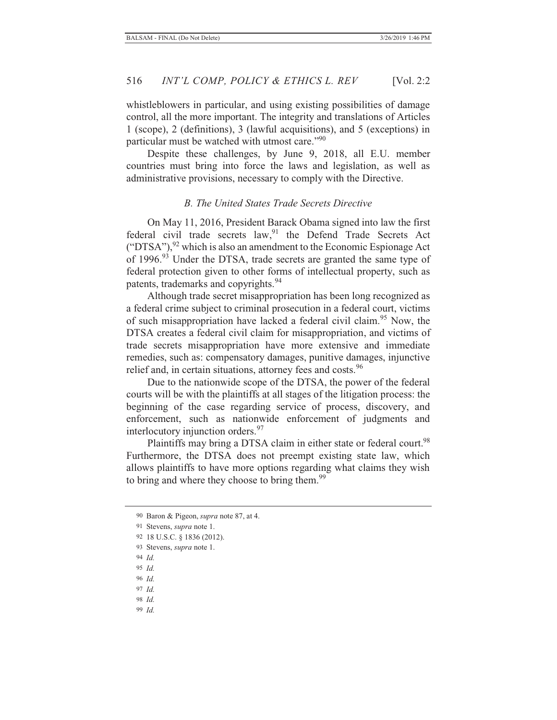whistleblowers in particular, and using existing possibilities of damage control, all the more important. The integrity and translations of Articles 1 (scope), 2 (definitions), 3 (lawful acquisitions), and 5 (exceptions) in particular must be watched with utmost care."<sup>90</sup>

Despite these challenges, by June 9, 2018, all E.U. member countries must bring into force the laws and legislation, as well as administrative provisions, necessary to comply with the Directive.

## *B. The United States Trade Secrets Directive*

On May 11, 2016, President Barack Obama signed into law the first federal civil trade secrets law,<sup>91</sup> the Defend Trade Secrets Act ("DTSA"),  $92$  which is also an amendment to the Economic Espionage Act of 1996.<sup>93</sup> Under the DTSA, trade secrets are granted the same type of federal protection given to other forms of intellectual property, such as patents, trademarks and copyrights.<sup>94</sup>

Although trade secret misappropriation has been long recognized as a federal crime subject to criminal prosecution in a federal court, victims of such misappropriation have lacked a federal civil claim.<sup>95</sup> Now, the DTSA creates a federal civil claim for misappropriation, and victims of trade secrets misappropriation have more extensive and immediate remedies, such as: compensatory damages, punitive damages, injunctive relief and, in certain situations, attorney fees and costs.<sup>96</sup>

Due to the nationwide scope of the DTSA, the power of the federal courts will be with the plaintiffs at all stages of the litigation process: the beginning of the case regarding service of process, discovery, and enforcement, such as nationwide enforcement of judgments and interlocutory injunction orders.<sup>97</sup>

Plaintiffs may bring a DTSA claim in either state or federal court.<sup>98</sup> Furthermore, the DTSA does not preempt existing state law, which allows plaintiffs to have more options regarding what claims they wish to bring and where they choose to bring them.<sup>99</sup>

- 95 *Id.*
- 96 *Id.*
- 97 *Id.*
- 98 *Id.*
- 99 *Id.*

<sup>90</sup> Baron & Pigeon, *supra* note 87, at 4.

<sup>91</sup> Stevens, *supra* note 1.

<sup>92 18</sup> U.S.C. § 1836 (2012).

<sup>93</sup> Stevens, *supra* note 1.

<sup>94</sup> *Id.*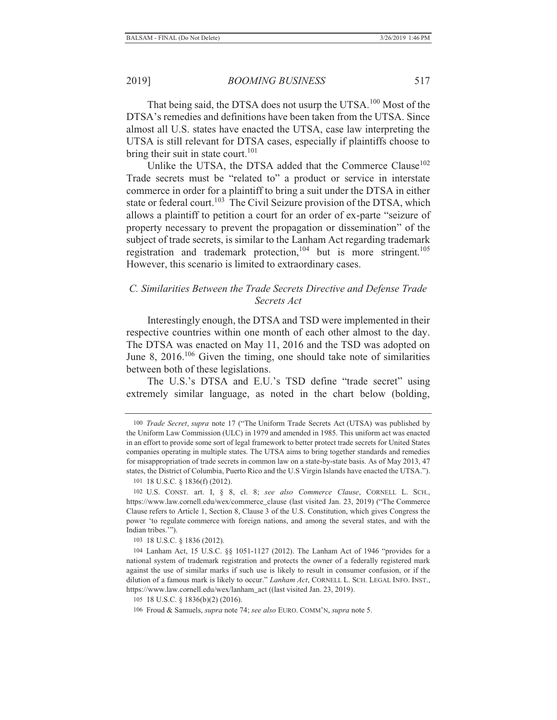That being said, the DTSA does not usurp the UTSA.<sup>100</sup> Most of the DTSA's remedies and definitions have been taken from the UTSA. Since almost all U.S. states have enacted the UTSA, case law interpreting the UTSA is still relevant for DTSA cases, especially if plaintiffs choose to bring their suit in state court. $101$ 

Unlike the UTSA, the DTSA added that the Commerce Clause<sup>102</sup> Trade secrets must be "related to" a product or service in interstate commerce in order for a plaintiff to bring a suit under the DTSA in either state or federal court.<sup>103</sup> The Civil Seizure provision of the DTSA, which allows a plaintiff to petition a court for an order of ex-parte "seizure of property necessary to prevent the propagation or dissemination" of the subject of trade secrets, is similar to the Lanham Act regarding trademark registration and trademark protection,<sup>104</sup> but is more stringent.<sup>105</sup> However, this scenario is limited to extraordinary cases.

## *C. Similarities Between the Trade Secrets Directive and Defense Trade Secrets Act*

Interestingly enough, the DTSA and TSD were implemented in their respective countries within one month of each other almost to the day. The DTSA was enacted on May 11, 2016 and the TSD was adopted on June 8, 2016.<sup>106</sup> Given the timing, one should take note of similarities between both of these legislations.

The U.S.'s DTSA and E.U.'s TSD define "trade secret" using extremely similar language, as noted in the chart below (bolding,

<sup>100</sup> *Trade Secret*, *supra* note 17 ("The Uniform Trade Secrets Act (UTSA) was published by the Uniform Law Commission (ULC) in 1979 and amended in 1985. This uniform act was enacted in an effort to provide some sort of legal framework to better protect trade secrets for United States companies operating in multiple states. The UTSA aims to bring together standards and remedies for misappropriation of trade secrets in common law on a state-by-state basis. As of May 2013, 47 states, the District of Columbia, Puerto Rico and the U.S Virgin Islands have enacted the UTSA.").

<sup>101 18</sup> U.S.C. § 1836(f) (2012).

<sup>102</sup> U.S. CONST. art. I, § 8, cl. 8; *see also Commerce Clause*, CORNELL L. SCH., https://www.law.cornell.edu/wex/commerce\_clause (last visited Jan. 23, 2019) ("The Commerce Clause refers to Article 1, Section 8, Clause 3 of the U.S. Constitution, which gives Congress the power 'to regulate commerce with foreign nations, and among the several states, and with the Indian tribes.'").

<sup>103 18</sup> U.S.C. § 1836 (2012).

<sup>104</sup> Lanham Act, 15 U.S.C. §§ 1051-1127 (2012). The Lanham Act of 1946 "provides for a national system of trademark registration and protects the owner of a federally registered mark against the use of similar marks if such use is likely to result in consumer confusion, or if the dilution of a famous mark is likely to occur." *Lanham Act*, CORNELL L. SCH. LEGAL INFO. INST., https://www.law.cornell.edu/wex/lanham\_act ((last visited Jan. 23, 2019).

<sup>105 18</sup> U.S.C. § 1836(b)(2) (2016).

<sup>106</sup> Froud & Samuels, *supra* note 74; *see also* EURO. COMM'N, *supra* note 5.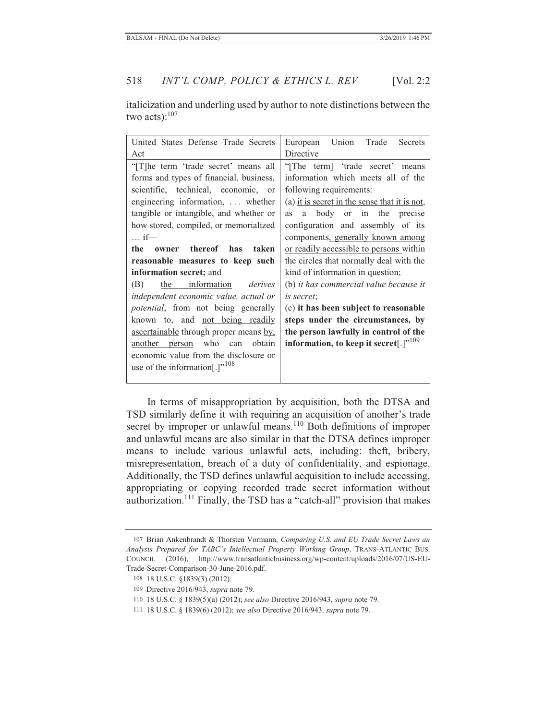italicization and underling used by author to note distinctions between the two acts): $107$ 

| United States Defense Trade Secrets         | Trade<br>Union<br>Secrets<br>European         |  |  |
|---------------------------------------------|-----------------------------------------------|--|--|
| Act                                         | Directive                                     |  |  |
| "[T]he term 'trade secret' means all        | "[The term] 'trade secret' means              |  |  |
| forms and types of financial, business,     | information which meets all of the            |  |  |
| scientific, technical, economic, or         | following requirements:                       |  |  |
| engineering information,  whether           | (a) it is secret in the sense that it is not, |  |  |
| tangible or intangible, and whether or      | body or in the precise<br><b>as</b><br>a      |  |  |
| how stored, compiled, or memorialized       | configuration and assembly of its             |  |  |
| $\ldots$ if—                                | components, generally known among             |  |  |
| owner thereof has<br>the<br>taken           | or readily accessible to persons within       |  |  |
| reasonable measures to keep such            | the circles that normally deal with the       |  |  |
| information secret; and                     | kind of information in question;              |  |  |
| the information<br>derives<br>(B)           | (b) it has commercial value because it        |  |  |
| independent economic value, actual or       | is secret:                                    |  |  |
| <i>potential</i> , from not being generally | (c) it has been subject to reasonable         |  |  |
| known to, and not being readily             | steps under the circumstances, by             |  |  |
| ascertainable through proper means by,      | the person lawfully in control of the         |  |  |
| who<br>obtain<br>another person<br>can      | information, to keep it secret[.]"109         |  |  |
| economic value from the disclosure or       |                                               |  |  |
| use of the information[.]" <sup>108</sup>   |                                               |  |  |
|                                             |                                               |  |  |

In terms of misappropriation by acquisition, both the DTSA and TSD similarly define it with requiring an acquisition of another's trade secret by improper or unlawful means.<sup>110</sup> Both definitions of improper and unlawful means are also similar in that the DTSA defines improper means to include various unlawful acts, including: theft, bribery, misrepresentation, breach of a duty of confidentiality, and espionage. Additionally, the TSD defines unlawful acquisition to include accessing, appropriating or copying recorded trade secret information without authorization.<sup>111</sup> Finally, the TSD has a "catch-all" provision that makes

<sup>107</sup> Brian Ankenbrandt & Thorsten Vormann, *Comparing U.S. and EU Trade Secret Laws an Analysis Prepared for TABC's Intellectual Property Working Group*, TRANS-ATLANTIC BUS. COUNCIL (2016), http://www.transatlanticbusiness.org/wp-content/uploads/2016/07/US-EU-Trade-Secret-Comparison-30-June-2016.pdf.

<sup>108 18</sup> U.S.C. §1839(3) (2012).

<sup>109</sup> Directive 2016/943, *supra* note 79.

<sup>110 18</sup> U.S.C. § 1839(5)(a) (2012); *see also* Directive 2016/943, *supra* note 79.

<sup>111 18</sup> U.S.C. § 1839(6) (2012); *see also* Directive 2016/943*, supra* note 79*.*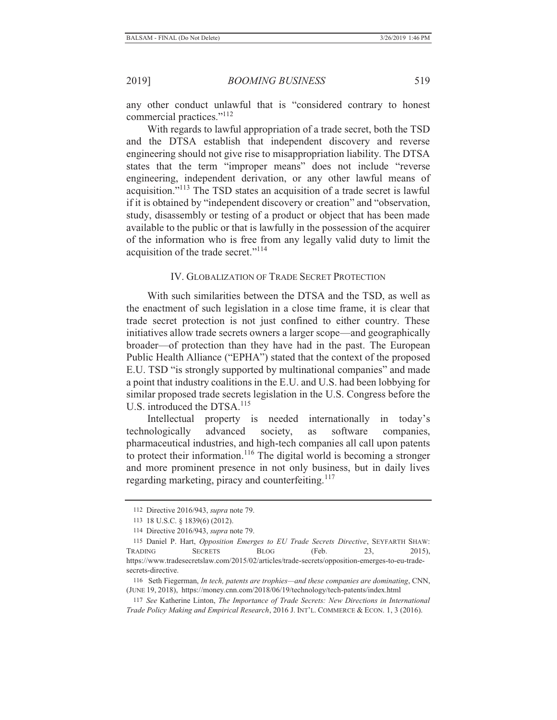any other conduct unlawful that is "considered contrary to honest commercial practices."<sup>112</sup>

With regards to lawful appropriation of a trade secret, both the TSD and the DTSA establish that independent discovery and reverse engineering should not give rise to misappropriation liability. The DTSA states that the term "improper means" does not include "reverse engineering, independent derivation, or any other lawful means of acquisition."113 The TSD states an acquisition of a trade secret is lawful if it is obtained by "independent discovery or creation" and "observation, study, disassembly or testing of a product or object that has been made available to the public or that is lawfully in the possession of the acquirer of the information who is free from any legally valid duty to limit the acquisition of the trade secret."<sup>114</sup>

## IV. GLOBALIZATION OF TRADE SECRET PROTECTION

With such similarities between the DTSA and the TSD, as well as the enactment of such legislation in a close time frame, it is clear that trade secret protection is not just confined to either country. These initiatives allow trade secrets owners a larger scope—and geographically broader—of protection than they have had in the past. The European Public Health Alliance ("EPHA") stated that the context of the proposed E.U. TSD "is strongly supported by multinational companies" and made a point that industry coalitions in the E.U. and U.S. had been lobbying for similar proposed trade secrets legislation in the U.S. Congress before the U.S. introduced the DTSA.<sup>115</sup>

Intellectual property is needed internationally in today's technologically advanced society, as software companies, pharmaceutical industries, and high-tech companies all call upon patents to protect their information.<sup>116</sup> The digital world is becoming a stronger and more prominent presence in not only business, but in daily lives regarding marketing, piracy and counterfeiting.<sup>117</sup>

<sup>112</sup> Directive 2016/943, *supra* note 79.

<sup>113 18</sup> U.S.C. § 1839(6) (2012).

<sup>114</sup> Directive 2016/943, *supra* note 79.

<sup>115</sup> Daniel P. Hart, *Opposition Emerges to EU Trade Secrets Directive*, SEYFARTH SHAW: TRADING SECRETS BLOG (Feb. 23, 2015), https://www.tradesecretslaw.com/2015/02/articles/trade-secrets/opposition-emerges-to-eu-tradesecrets-directive.

<sup>116</sup> Seth Fiegerman, *In tech, patents are trophies—and these companies are dominating*, CNN, (JUNE 19, 2018), https://money.cnn.com/2018/06/19/technology/tech-patents/index.html

<sup>117</sup> *See* Katherine Linton, *The Importance of Trade Secrets: New Directions in International Trade Policy Making and Empirical Research*, 2016 J. INT'L. COMMERCE & ECON. 1, 3 (2016).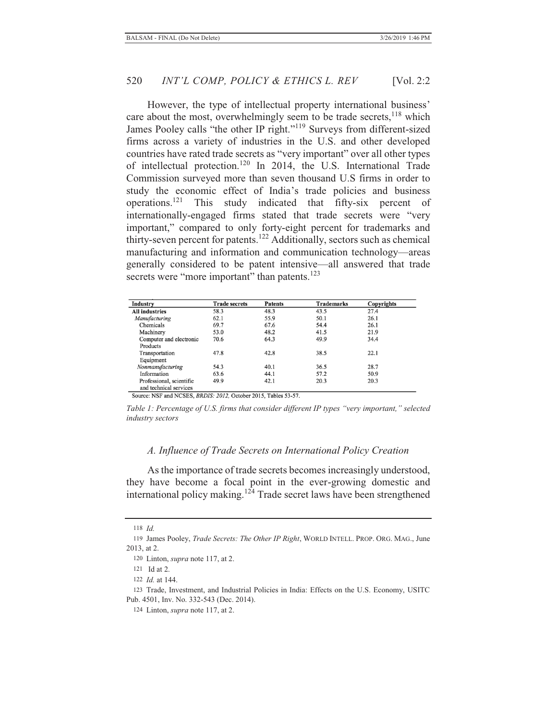However, the type of intellectual property international business' care about the most, overwhelmingly seem to be trade secrets,<sup>118</sup> which James Pooley calls "the other IP right."119 Surveys from different-sized firms across a variety of industries in the U.S. and other developed countries have rated trade secrets as "very important" over all other types of intellectual protection.120 In 2014, the U.S. International Trade Commission surveyed more than seven thousand U.S firms in order to study the economic effect of India's trade policies and business operations.121 This study indicated that fifty-six percent of internationally-engaged firms stated that trade secrets were "very important," compared to only forty-eight percent for trademarks and thirty-seven percent for patents.<sup>122</sup> Additionally, sectors such as chemical manufacturing and information and communication technology—areas generally considered to be patent intensive—all answered that trade secrets were "more important" than patents.<sup>123</sup>

| Industry                 | <b>Trade secrets</b> | <b>Patents</b> | <b>Trademarks</b> | Copyrights |
|--------------------------|----------------------|----------------|-------------------|------------|
| <b>All industries</b>    | 58.3                 | 48.3           | 43.5              | 27.4       |
| Manufacturing            | 62.1                 | 55.9           | 50.1              | 26.1       |
| Chemicals                | 69.7                 | 67.6           | 54.4              | 26.1       |
| Machinery                | 53.0                 | 48.2           | 41.5              | 21.9       |
| Computer and electronic  | 70.6                 | 64.3           | 49.9              | 34.4       |
| Products                 |                      |                |                   |            |
| Transportation           | 47.8                 | 42.8           | 38.5              | 22.1       |
| Equipment                |                      |                |                   |            |
| Nonmanufacturing         | 54.3                 | 40.1           | 36.5              | 28.7       |
| Information              | 63.6                 | 44.1           | 57.2              | 50.9       |
| Professional, scientific | 49.9                 | 42.1           | 20.3              | 20.3       |
| and technical services   |                      |                |                   |            |

Source: NSF and NCSES, BRDIS: 2012, October 2015, Tables 53-57.

*Table 1: Percentage of U.S. firms that consider different IP types "very important," selected industry sectors*

#### *A. Influence of Trade Secrets on International Policy Creation*

As the importance of trade secrets becomes increasingly understood, they have become a focal point in the ever-growing domestic and international policy making.<sup>124</sup> Trade secret laws have been strengthened

<sup>118</sup> *Id.*

<sup>119</sup> James Pooley, *Trade Secrets: The Other IP Right*, WORLD INTELL. PROP. ORG. MAG., June 2013, at 2.

<sup>120</sup> Linton, *supra* note 117, at 2.

<sup>121</sup> Id at 2.

<sup>122</sup> *Id.* at 144.

<sup>123</sup> Trade, Investment, and Industrial Policies in India: Effects on the U.S. Economy, USITC Pub. 4501, Inv. No. 332-543 (Dec. 2014).

<sup>124</sup> Linton, *supra* note 117, at 2.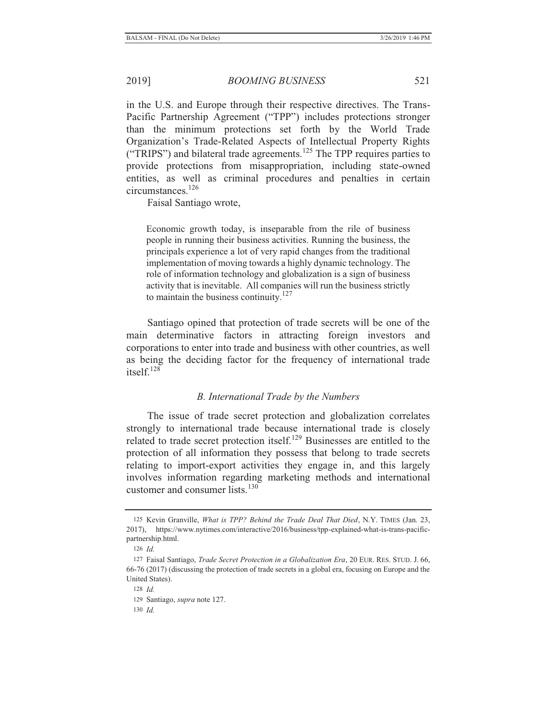in the U.S. and Europe through their respective directives. The Trans-Pacific Partnership Agreement ("TPP") includes protections stronger than the minimum protections set forth by the World Trade Organization's Trade-Related Aspects of Intellectual Property Rights ("TRIPS") and bilateral trade agreements.<sup>125</sup> The TPP requires parties to provide protections from misappropriation, including state-owned entities, as well as criminal procedures and penalties in certain circumstances.126

Faisal Santiago wrote,

Economic growth today, is inseparable from the rile of business people in running their business activities. Running the business, the principals experience a lot of very rapid changes from the traditional implementation of moving towards a highly dynamic technology. The role of information technology and globalization is a sign of business activity that is inevitable. All companies will run the business strictly to maintain the business continuity.<sup>127</sup>

Santiago opined that protection of trade secrets will be one of the main determinative factors in attracting foreign investors and corporations to enter into trade and business with other countries, as well as being the deciding factor for the frequency of international trade itsel $f<sup>128</sup>$ 

## *B. International Trade by the Numbers*

The issue of trade secret protection and globalization correlates strongly to international trade because international trade is closely related to trade secret protection itself.<sup>129</sup> Businesses are entitled to the protection of all information they possess that belong to trade secrets relating to import-export activities they engage in, and this largely involves information regarding marketing methods and international customer and consumer lists. $130$ 

<sup>125</sup> Kevin Granville, *What is TPP? Behind the Trade Deal That Died*, N.Y. TIMES (Jan. 23, 2017), https://www.nytimes.com/interactive/2016/business/tpp-explained-what-is-trans-pacificpartnership.html.

<sup>126</sup> *Id.*

<sup>127</sup> Faisal Santiago, *Trade Secret Protection in a Globalization Era*, 20 EUR. RES. STUD. J. 66, 66-76 (2017) (discussing the protection of trade secrets in a global era, focusing on Europe and the United States).

<sup>128</sup> *Id.*

<sup>129</sup> Santiago, *supra* note 127.

<sup>130</sup> *Id.*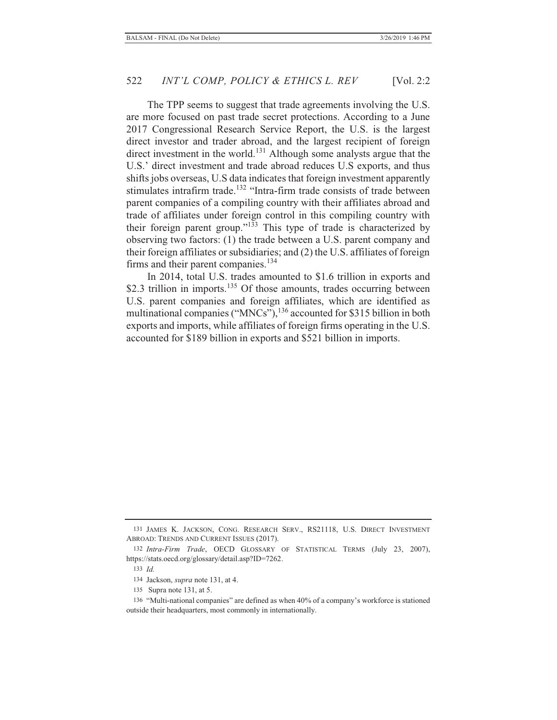The TPP seems to suggest that trade agreements involving the U.S. are more focused on past trade secret protections. According to a June 2017 Congressional Research Service Report, the U.S. is the largest direct investor and trader abroad, and the largest recipient of foreign direct investment in the world.<sup>131</sup> Although some analysts argue that the U.S.' direct investment and trade abroad reduces U.S exports, and thus shifts jobs overseas, U.S data indicates that foreign investment apparently stimulates intrafirm trade.<sup>132</sup> "Intra-firm trade consists of trade between parent companies of a compiling country with their affiliates abroad and trade of affiliates under foreign control in this compiling country with their foreign parent group." $133$  This type of trade is characterized by observing two factors: (1) the trade between a U.S. parent company and their foreign affiliates or subsidiaries; and (2) the U.S. affiliates of foreign firms and their parent companies.<sup>134</sup>

In 2014, total U.S. trades amounted to \$1.6 trillion in exports and \$2.3 trillion in imports.<sup>135</sup> Of those amounts, trades occurring between U.S. parent companies and foreign affiliates, which are identified as multinational companies ("MNCs"),<sup>136</sup> accounted for \$315 billion in both exports and imports, while affiliates of foreign firms operating in the U.S. accounted for \$189 billion in exports and \$521 billion in imports.

<sup>131</sup> JAMES K. JACKSON, CONG. RESEARCH SERV., RS21118, U.S. DIRECT INVESTMENT ABROAD: TRENDS AND CURRENT ISSUES (2017).

<sup>132</sup> *Intra-Firm Trade*, OECD GLOSSARY OF STATISTICAL TERMS (July 23, 2007), https://stats.oecd.org/glossary/detail.asp?ID=7262.

<sup>133</sup> *Id.*

<sup>134</sup> Jackson, *supra* note 131, at 4.

<sup>135</sup> Supra note 131, at 5.

<sup>136</sup> "Multi-national companies" are defined as when 40% of a company's workforce is stationed outside their headquarters, most commonly in internationally.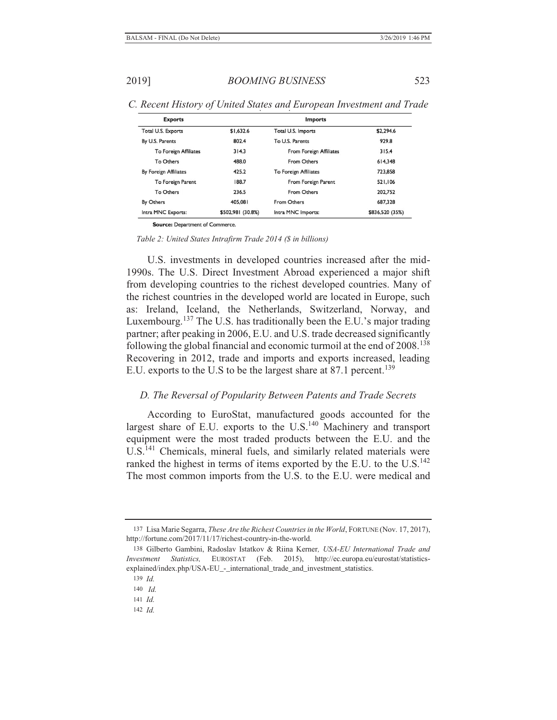| <b>Exports</b>               | <b>Imports</b>    |                              |                 |  |
|------------------------------|-------------------|------------------------------|-----------------|--|
| Total U.S. Exports           | \$1,632.6         | Total U.S. Imports           | \$2,294.6       |  |
| By U.S. Parents              | 802.4             | To U.S. Parents              | 929.8           |  |
| <b>To Foreign Affiliates</b> | 314.3             | From Foreign Affiliates      | 315.4           |  |
| <b>To Others</b>             | 488.0             | From Others                  | 614,348         |  |
| By Foreign Affiliates        | 425.2             | <b>To Foreign Affiliates</b> | 723,858         |  |
| To Foreign Parent            | 188.7             | From Foreign Parent          | 521,106         |  |
| To Others                    | 236.5             | From Others                  | 202.752         |  |
| By Others                    | 405,081           | From Others                  | 687.328         |  |
| Intra MNC Exports:           | \$502,981 (30.8%) | Intra MNC Imports:           | \$836,520 (35%) |  |

*C. Recent History of United States and European Investment and Trade* 

Source: Department of Commerce.

*Table 2: United States Intrafirm Trade 2014 (\$ in billions)*

U.S. investments in developed countries increased after the mid-1990s. The U.S. Direct Investment Abroad experienced a major shift from developing countries to the richest developed countries. Many of the richest countries in the developed world are located in Europe, such as: Ireland, Iceland, the Netherlands, Switzerland, Norway, and Luxembourg.<sup>137</sup> The U.S. has traditionally been the E.U.'s major trading partner; after peaking in 2006, E.U. and U.S. trade decreased significantly following the global financial and economic turmoil at the end of  $2008$ <sup>138</sup> Recovering in 2012, trade and imports and exports increased, leading E.U. exports to the U.S to be the largest share at 87.1 percent.<sup>139</sup>

## *D. The Reversal of Popularity Between Patents and Trade Secrets*

According to EuroStat, manufactured goods accounted for the largest share of E.U. exports to the  $U.S.<sup>140</sup>$  Machinery and transport equipment were the most traded products between the E.U. and the U.S.<sup>141</sup> Chemicals, mineral fuels, and similarly related materials were ranked the highest in terms of items exported by the E.U. to the U.S. $^{142}$ The most common imports from the U.S. to the E.U. were medical and

<sup>137</sup> Lisa Marie Segarra, *These Are the Richest Countries in the World*, FORTUNE (Nov. 17, 2017), http://fortune.com/2017/11/17/richest-country-in-the-world.

<sup>138</sup> Gilberto Gambini, Radoslav Istatkov & Riina Kerner*, USA-EU International Trade and Investment Statistics,* EUROSTAT (Feb. 2015), http://ec.europa.eu/eurostat/statisticsexplained/index.php/USA-EU\_-\_international\_trade\_and\_investment\_statistics.

<sup>139</sup> *Id.*

<sup>140</sup> *Id.*

<sup>141</sup> *Id.*

<sup>142</sup> *Id.*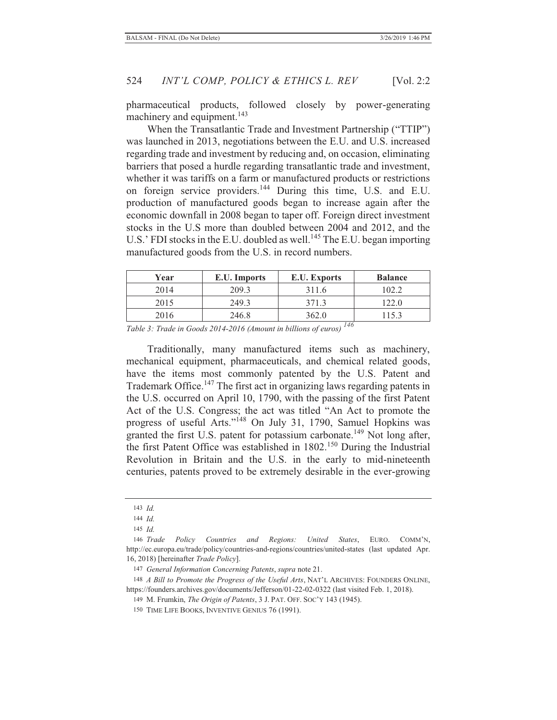pharmaceutical products, followed closely by power-generating machinery and equipment.<sup>143</sup>

When the Transatlantic Trade and Investment Partnership ("TTIP") was launched in 2013, negotiations between the E.U. and U.S. increased regarding trade and investment by reducing and, on occasion, eliminating barriers that posed a hurdle regarding transatlantic trade and investment, whether it was tariffs on a farm or manufactured products or restrictions on foreign service providers.144 During this time, U.S. and E.U. production of manufactured goods began to increase again after the economic downfall in 2008 began to taper off. Foreign direct investment stocks in the U.S more than doubled between 2004 and 2012, and the U.S.' FDI stocks in the E.U. doubled as well.<sup>145</sup> The E.U. began importing manufactured goods from the U.S. in record numbers.

| Year | E.U. Imports | E.U. Exports | <b>Balance</b> |
|------|--------------|--------------|----------------|
| 2014 | 209.3        | 311.6        | 102.2          |
| 2015 | 249.3        | 371.3        | 122.0          |
| 2016 | 246.8        | 362.0        |                |

*Table 3: Trade in Goods 2014-2016 (Amount in billions of euros) <sup>146</sup>*

Traditionally, many manufactured items such as machinery, mechanical equipment, pharmaceuticals, and chemical related goods, have the items most commonly patented by the U.S. Patent and Trademark Office.147 The first act in organizing laws regarding patents in the U.S. occurred on April 10, 1790, with the passing of the first Patent Act of the U.S. Congress; the act was titled "An Act to promote the progress of useful Arts."148 On July 31, 1790, Samuel Hopkins was granted the first U.S. patent for potassium carbonate.<sup>149</sup> Not long after, the first Patent Office was established in 1802.<sup>150</sup> During the Industrial Revolution in Britain and the U.S. in the early to mid-nineteenth centuries, patents proved to be extremely desirable in the ever-growing

<sup>143</sup> *Id.*

<sup>144</sup> *Id.*

<sup>145</sup> *Id.*

<sup>146</sup> *Trade Policy Countries and Regions: United States*, EURO. COMM'N, http://ec.europa.eu/trade/policy/countries-and-regions/countries/united-states (last updated Apr. 16, 2018) [hereinafter *Trade Policy*].

<sup>147</sup> *General Information Concerning Patents*, *supra* note 21.

<sup>148</sup> *A Bill to Promote the Progress of the Useful Arts*, NAT'L ARCHIVES: FOUNDERS ONLINE, https://founders.archives.gov/documents/Jefferson/01-22-02-0322 (last visited Feb. 1, 2018).

<sup>149</sup> M. Frumkin, *The Origin of Patents*, 3 J. PAT. OFF. SOC'Y 143 (1945).

<sup>150</sup> TIME LIFE BOOKS, INVENTIVE GENIUS 76 (1991).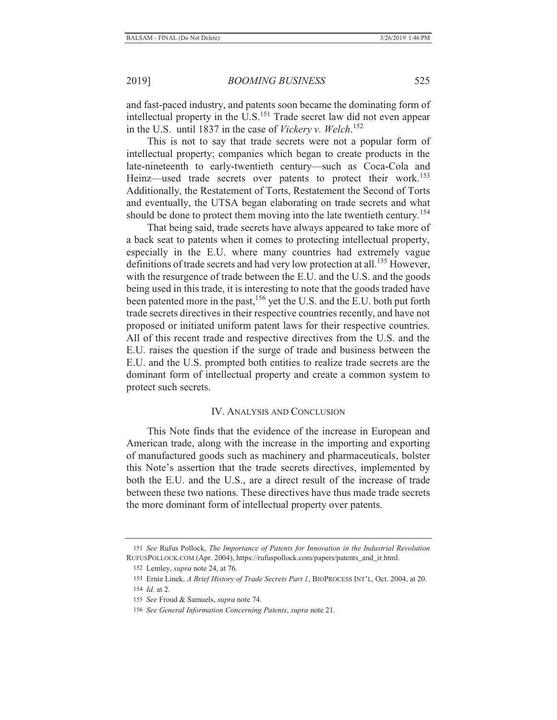and fast-paced industry, and patents soon became the dominating form of intellectual property in the U.S.<sup>151</sup> Trade secret law did not even appear in the U.S. until 1837 in the case of *Vickery v. Welch*. 152

This is not to say that trade secrets were not a popular form of intellectual property; companies which began to create products in the late-nineteenth to early-twentieth century—such as Coca-Cola and Heinz—used trade secrets over patents to protect their work.<sup>153</sup> Additionally, the Restatement of Torts, Restatement the Second of Torts and eventually, the UTSA began elaborating on trade secrets and what should be done to protect them moving into the late twentieth century.<sup>154</sup>

That being said, trade secrets have always appeared to take more of a back seat to patents when it comes to protecting intellectual property, especially in the E.U. where many countries had extremely vague definitions of trade secrets and had very low protection at all.<sup>155</sup> However, with the resurgence of trade between the E.U. and the U.S. and the goods being used in this trade, it is interesting to note that the goods traded have been patented more in the past,<sup>156</sup> yet the U.S. and the E.U. both put forth trade secrets directives in their respective countries recently, and have not proposed or initiated uniform patent laws for their respective countries. All of this recent trade and respective directives from the U.S. and the E.U. raises the question if the surge of trade and business between the E.U. and the U.S. prompted both entities to realize trade secrets are the dominant form of intellectual property and create a common system to protect such secrets.

## IV. ANALYSIS AND CONCLUSION

This Note finds that the evidence of the increase in European and American trade, along with the increase in the importing and exporting of manufactured goods such as machinery and pharmaceuticals, bolster this Note's assertion that the trade secrets directives, implemented by both the E.U. and the U.S., are a direct result of the increase of trade between these two nations. These directives have thus made trade secrets the more dominant form of intellectual property over patents.

<sup>151</sup> *See* Rufus Pollock, *The Importance of Patents for Innovation in the Industrial Revolution* RUFUSPOLLOCK.COM (Apr. 2004), https://rufuspollock.com/papers/patents\_and\_ir.html.

<sup>152</sup> Lemley, *supra* note 24, at 76.

<sup>153</sup> Ernie Linek, *A Brief History of Trade Secrets Part 1*, BIOPROCESS INT'L, Oct. 2004, at 20.

<sup>154</sup> *Id.* at 2.

<sup>155</sup> *See* Froud & Samuels, *supra* note 74.

<sup>156</sup> *See General Information Concerning Patents*, *supra* note 21.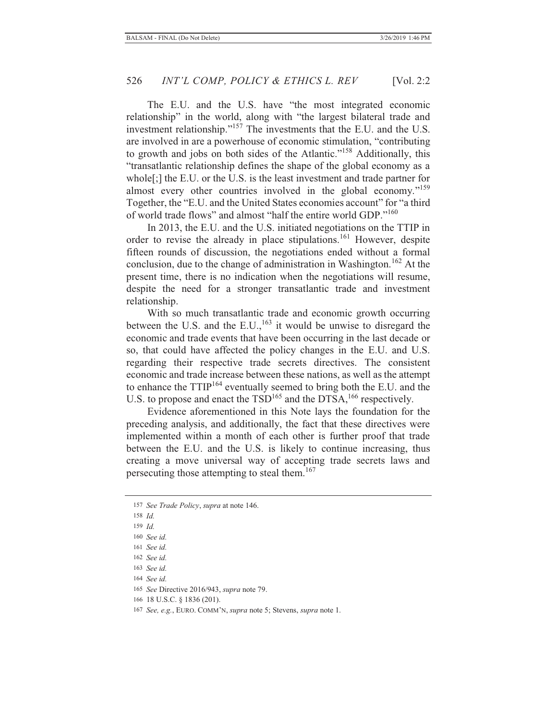The E.U. and the U.S. have "the most integrated economic relationship" in the world, along with "the largest bilateral trade and investment relationship."<sup>157</sup> The investments that the E.U. and the U.S. are involved in are a powerhouse of economic stimulation, "contributing to growth and jobs on both sides of the Atlantic."158 Additionally, this "transatlantic relationship defines the shape of the global economy as a whole[;] the E.U. or the U.S. is the least investment and trade partner for almost every other countries involved in the global economy."<sup>159</sup> Together, the "E.U. and the United States economies account" for "a third of world trade flows" and almost "half the entire world GDP."<sup>160</sup>

In 2013, the E.U. and the U.S. initiated negotiations on the TTIP in order to revise the already in place stipulations.<sup>161</sup> However, despite fifteen rounds of discussion, the negotiations ended without a formal conclusion, due to the change of administration in Washington.<sup>162</sup> At the present time, there is no indication when the negotiations will resume, despite the need for a stronger transatlantic trade and investment relationship.

With so much transatlantic trade and economic growth occurring between the U.S. and the  $E.U.,<sup>163</sup>$  it would be unwise to disregard the economic and trade events that have been occurring in the last decade or so, that could have affected the policy changes in the E.U. and U.S. regarding their respective trade secrets directives. The consistent economic and trade increase between these nations, as well as the attempt to enhance the TTIP164 eventually seemed to bring both the E.U. and the U.S. to propose and enact the TSD<sup>165</sup> and the DTSA,<sup>166</sup> respectively.

Evidence aforementioned in this Note lays the foundation for the preceding analysis, and additionally, the fact that these directives were implemented within a month of each other is further proof that trade between the E.U. and the U.S. is likely to continue increasing, thus creating a move universal way of accepting trade secrets laws and persecuting those attempting to steal them.<sup>167</sup>

164 *See id.*

166 18 U.S.C. § 1836 (201).

<sup>157</sup> *See Trade Policy*, *supra* at note 146.

<sup>158</sup> *Id.*

<sup>159</sup> *Id.*

<sup>160</sup> *See id.*

<sup>161</sup> *See id.*

<sup>162</sup> *See id.*

<sup>163</sup> *See id.*

<sup>165</sup> *See* Directive 2016/943, *supra* note 79.

<sup>167</sup> *See, e.g.*, EURO. COMM'N, *supra* note 5; Stevens, *supra* note 1.